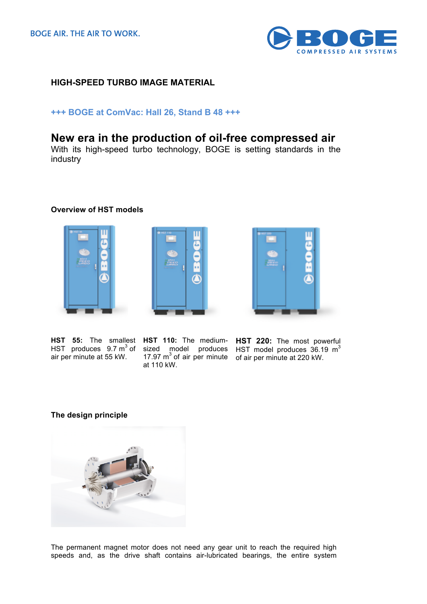

# **HIGH-SPEED TURBO IMAGE MATERIAL**

## **+++ BOGE at ComVac: Hall 26, Stand B 48 +++**

# **New era in the production of oil-free compressed air**

With its high-speed turbo technology, BOGE is setting standards in the industry

### **Overview of HST models**







air per minute at 55 kW.  $17.97 \text{ m}^3$  of air per minute of air per minute at 220 kW.

at 110 kW.

**HST 55:** The smallest HST 110: The medium- HST 220: The most powerful HST produces  $9.7 \text{ m}^3$  of sized model produces HST model produces  $36.19 \text{ m}^3$ 

#### **The design principle**



The permanent magnet motor does not need any gear unit to reach the required high speeds and, as the drive shaft contains air-lubricated bearings, the entire system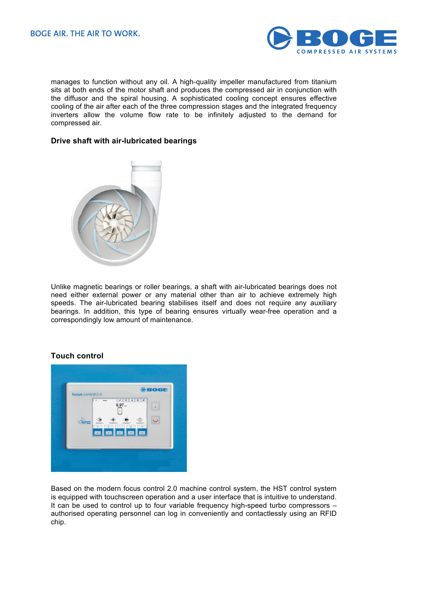

manages to function without any oil. A high-quality impeller manufactured from titanium sits at both ends of the motor shaft and produces the compressed air in conjunction with the diffusor and the spiral housing. A sophisticated cooling concept ensures effective cooling of the air after each of the three compression stages and the integrated frequency inverters allow the volume flow rate to be infinitely adjusted to the demand for compressed air.

### **Drive shaft with air-lubricated bearings**



Unlike magnetic bearings or roller bearings, a shaft with air-lubricated bearings does not need either external power or any material other than air to achieve extremely high speeds. The air-lubricated bearing stabilises itself and does not require any auxiliary bearings. In addition, this type of bearing ensures virtually wear-free operation and a correspondingly low amount of maintenance.

#### **Touch control**



Based on the modern focus control 2.0 machine control system, the HST control system is equipped with touchscreen operation and a user interface that is intuitive to understand. It can be used to control up to four variable frequency high-speed turbo compressors – authorised operating personnel can log in conveniently and contactlessly using an RFID chip.